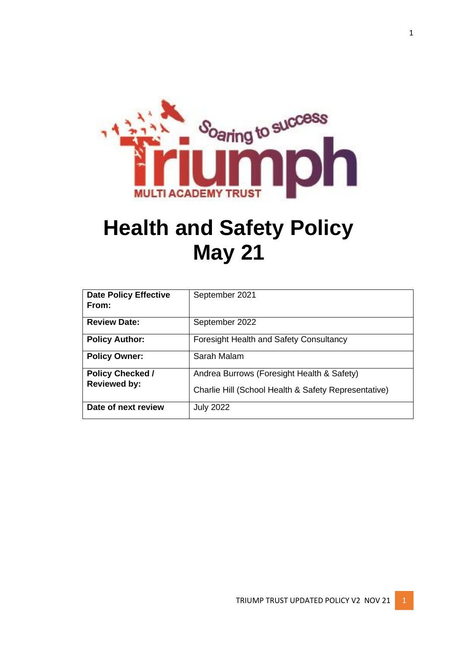

# **Health and Safety Policy May 21**

| <b>Date Policy Effective</b><br>From:          | September 2021                                                                                     |
|------------------------------------------------|----------------------------------------------------------------------------------------------------|
| <b>Review Date:</b>                            | September 2022                                                                                     |
| <b>Policy Author:</b>                          | <b>Foresight Health and Safety Consultancy</b>                                                     |
| <b>Policy Owner:</b>                           | Sarah Malam                                                                                        |
| <b>Policy Checked /</b><br><b>Reviewed by:</b> | Andrea Burrows (Foresight Health & Safety)<br>Charlie Hill (School Health & Safety Representative) |
| Date of next review                            | <b>July 2022</b>                                                                                   |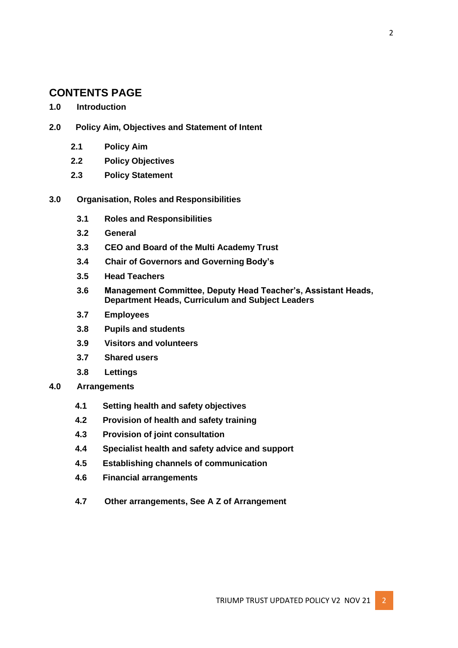# **CONTENTS PAGE**

## **1.0 Introduction**

- **2.0 Policy Aim, Objectives and Statement of Intent**
	- **2.1 Policy Aim**
	- **2.2 Policy Objectives**
	- **2.3 Policy Statement**

## **3.0 Organisation, Roles and Responsibilities**

- **3.1 Roles and Responsibilities**
- **3.2 General**
- **3.3 CEO and Board of the Multi Academy Trust**
- **3.4 Chair of Governors and Governing Body's**
- **3.5 Head Teachers**
- **3.6 Management Committee, Deputy Head Teacher's, Assistant Heads, Department Heads, Curriculum and Subject Leaders**
- **3.7 Employees**
- **3.8 Pupils and students**
- **3.9 Visitors and volunteers**
- **3.7 Shared users**
- **3.8 Lettings**
- **4.0 Arrangements**
	- **4.1 Setting health and safety objectives**
	- **4.2 Provision of health and safety training**
	- **4.3 Provision of joint consultation**
	- **4.4 Specialist health and safety advice and support**
	- **4.5 Establishing channels of communication**
	- **4.6 Financial arrangements**
	- **4.7 Other arrangements, See A Z of Arrangement**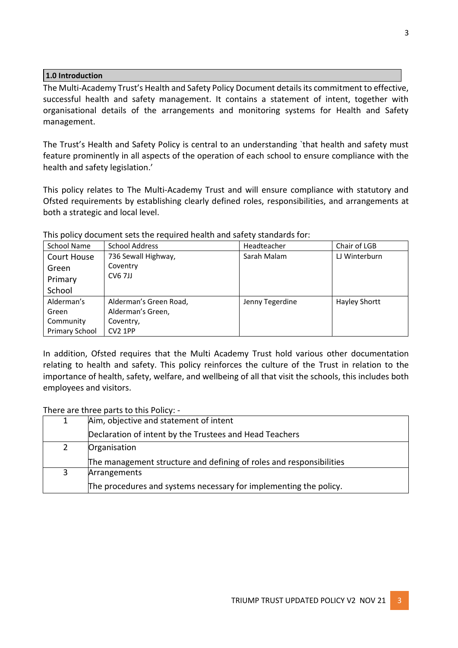#### **1.0 Introduction**

The Multi-Academy Trust's Health and Safety Policy Document details its commitment to effective, successful health and safety management. It contains a statement of intent, together with organisational details of the arrangements and monitoring systems for Health and Safety management.

The Trust's Health and Safety Policy is central to an understanding `that health and safety must feature prominently in all aspects of the operation of each school to ensure compliance with the health and safety legislation.'

This policy relates to The Multi-Academy Trust and will ensure compliance with statutory and Ofsted requirements by establishing clearly defined roles, responsibilities, and arrangements at both a strategic and local level.

| School Name           | <b>School Address</b>  | Headteacher     | Chair of LGB         |
|-----------------------|------------------------|-----------------|----------------------|
| Court House           | 736 Sewall Highway,    | Sarah Malam     | LJ Winterburn        |
| Green                 | Coventry               |                 |                      |
| Primary               | <b>CV6 7JJ</b>         |                 |                      |
| School                |                        |                 |                      |
| Alderman's            | Alderman's Green Road, | Jenny Tegerdine | <b>Hayley Shortt</b> |
| Green                 | Alderman's Green,      |                 |                      |
| Community             | Coventry,              |                 |                      |
| <b>Primary School</b> | CV <sub>2</sub> 1PP    |                 |                      |

This policy document sets the required health and safety standards for:

In addition, Ofsted requires that the Multi Academy Trust hold various other documentation relating to health and safety. This policy reinforces the culture of the Trust in relation to the importance of health, safety, welfare, and wellbeing of all that visit the schools, this includes both employees and visitors.

There are three parts to this Policy: -

| $\mathbf{1}$ | Aim, objective and statement of intent                              |  |
|--------------|---------------------------------------------------------------------|--|
|              | Declaration of intent by the Trustees and Head Teachers             |  |
| 2            | Organisation                                                        |  |
|              | The management structure and defining of roles and responsibilities |  |
| 3            | Arrangements                                                        |  |
|              | The procedures and systems necessary for implementing the policy.   |  |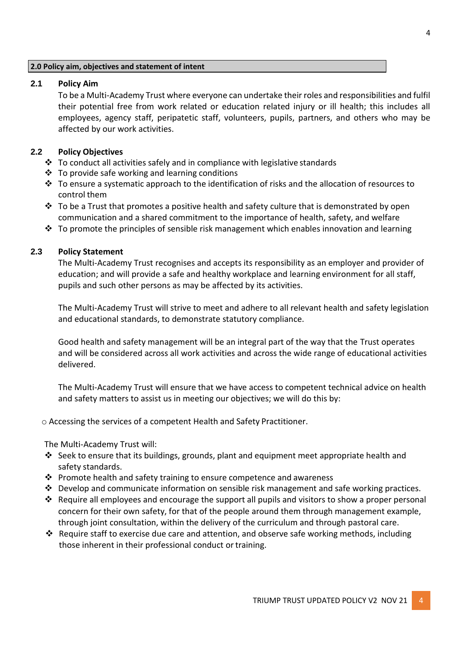#### **2.0 Policy aim, objectives and statement of intent**

## **2.1 Policy Aim**

To be a Multi-Academy Trust where everyone can undertake their roles and responsibilities and fulfil their potential free from work related or education related injury or ill health; this includes all employees, agency staff, peripatetic staff, volunteers, pupils, partners, and others who may be affected by our work activities.

## **2.2 Policy Objectives**

- ❖ To conduct all activities safely and in compliance with legislative standards
- ❖ To provide safe working and learning conditions
- ❖ To ensure a systematic approach to the identification of risks and the allocation of resources to control them
- $\cdot \cdot$  To be a Trust that promotes a positive health and safety culture that is demonstrated by open communication and a shared commitment to the importance of health, safety, and welfare
- $\dots$  To promote the principles of sensible risk management which enables innovation and learning

## **2.3 Policy Statement**

The Multi-Academy Trust recognises and accepts its responsibility as an employer and provider of education; and will provide a safe and healthy workplace and learning environment for all staff, pupils and such other persons as may be affected by its activities.

The Multi-Academy Trust will strive to meet and adhere to all relevant health and safety legislation and educational standards, to demonstrate statutory compliance.

Good health and safety management will be an integral part of the way that the Trust operates and will be considered across all work activities and across the wide range of educational activities delivered.

The Multi-Academy Trust will ensure that we have access to competent technical advice on health and safety matters to assist us in meeting our objectives; we will do this by:

o Accessing the services of a competent Health and Safety Practitioner.

The Multi-Academy Trust will:

- $\dots$  Seek to ensure that its buildings, grounds, plant and equipment meet appropriate health and safety standards.
- ❖ Promote health and safety training to ensure competence and awareness
- $\cdot \cdot$  Develop and communicate information on sensible risk management and safe working practices.
- ❖ Require all employees and encourage the support all pupils and visitors to show a proper personal concern for their own safety, for that of the people around them through management example, through joint consultation, within the delivery of the curriculum and through pastoral care.
- ❖ Require staff to exercise due care and attention, and observe safe working methods, including those inherent in their professional conduct or training.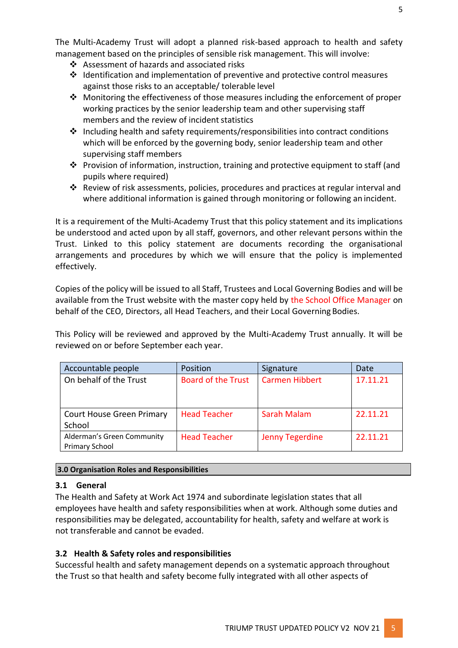The Multi-Academy Trust will adopt a planned risk-based approach to health and safety management based on the principles of sensible risk management. This will involve:

- ❖ Assessment of hazards and associated risks
- ❖ Identification and implementation of preventive and protective control measures against those risks to an acceptable/ tolerable level
- ❖ Monitoring the effectiveness of those measures including the enforcement of proper working practices by the senior leadership team and other supervising staff members and the review of incident statistics
- ❖ Including health and safety requirements/responsibilities into contract conditions which will be enforced by the governing body, senior leadership team and other supervising staff members
- ❖ Provision of information, instruction, training and protective equipment to staff (and pupils where required)
- ❖ Review of risk assessments, policies, procedures and practices at regular interval and where additional information is gained through monitoring or following an incident.

It is a requirement of the Multi-Academy Trust that this policy statement and its implications be understood and acted upon by all staff, governors, and other relevant persons within the Trust. Linked to this policy statement are documents recording the organisational arrangements and procedures by which we will ensure that the policy is implemented effectively.

Copies of the policy will be issued to all Staff, Trustees and Local Governing Bodies and will be available from the Trust website with the master copy held by the School Office Manager on behalf of the CEO, Directors, all Head Teachers, and their Local Governing Bodies.

This Policy will be reviewed and approved by the Multi-Academy Trust annually. It will be reviewed on or before September each year.

| Accountable people                                  | Position                  | Signature              | Date     |
|-----------------------------------------------------|---------------------------|------------------------|----------|
| On behalf of the Trust                              | <b>Board of the Trust</b> | <b>Carmen Hibbert</b>  | 17.11.21 |
|                                                     |                           |                        |          |
| <b>Court House Green Primary</b><br>School          | <b>Head Teacher</b>       | Sarah Malam            | 22.11.21 |
| Alderman's Green Community<br><b>Primary School</b> | <b>Head Teacher</b>       | <b>Jenny Tegerdine</b> | 22.11.21 |

# **3.0 Organisation Roles and Responsibilities**

# **3.1 General**

The Health and Safety at Work Act 1974 and subordinate legislation states that all employees have health and safety responsibilities when at work. Although some duties and responsibilities may be delegated, accountability for health, safety and welfare at work is not transferable and cannot be evaded.

# **3.2 Health & Safety roles and responsibilities**

Successful health and safety management depends on a systematic approach throughout the Trust so that health and safety become fully integrated with all other aspects of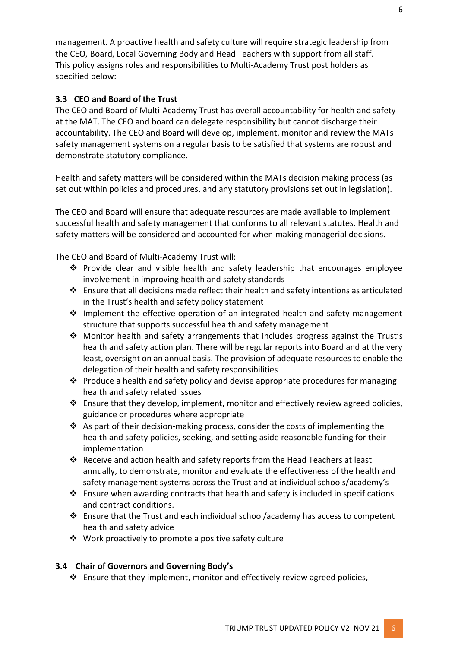management. A proactive health and safety culture will require strategic leadership from the CEO, Board, Local Governing Body and Head Teachers with support from all staff. This policy assigns roles and responsibilities to Multi-Academy Trust post holders as specified below:

## **3.3 CEO and Board of the Trust**

The CEO and Board of Multi-Academy Trust has overall accountability for health and safety at the MAT. The CEO and board can delegate responsibility but cannot discharge their accountability. The CEO and Board will develop, implement, monitor and review the MATs safety management systems on a regular basis to be satisfied that systems are robust and demonstrate statutory compliance.

Health and safety matters will be considered within the MATs decision making process (as set out within policies and procedures, and any statutory provisions set out in legislation).

The CEO and Board will ensure that adequate resources are made available to implement successful health and safety management that conforms to all relevant statutes. Health and safety matters will be considered and accounted for when making managerial decisions.

The CEO and Board of Multi-Academy Trust will:

- ❖ Provide clear and visible health and safety leadership that encourages employee involvement in improving health and safety standards
- ❖ Ensure that all decisions made reflect their health and safety intentions as articulated in the Trust's health and safety policy statement
- ❖ Implement the effective operation of an integrated health and safety management structure that supports successful health and safety management
- ❖ Monitor health and safety arrangements that includes progress against the Trust's health and safety action plan. There will be regular reports into Board and at the very least, oversight on an annual basis. The provision of adequate resources to enable the delegation of their health and safety responsibilities
- ❖ Produce a health and safety policy and devise appropriate procedures for managing health and safety related issues
- $\div$  Ensure that they develop, implement, monitor and effectively review agreed policies, guidance or procedures where appropriate
- ❖ As part of their decision-making process, consider the costs of implementing the health and safety policies, seeking, and setting aside reasonable funding for their implementation
- ❖ Receive and action health and safety reports from the Head Teachers at least annually, to demonstrate, monitor and evaluate the effectiveness of the health and safety management systems across the Trust and at individual schools/academy's
- ❖ Ensure when awarding contracts that health and safety is included in specifications and contract conditions.
- ❖ Ensure that the Trust and each individual school/academy has access to competent health and safety advice
- ❖ Work proactively to promote a positive safety culture

## **3.4 Chair of Governors and Governing Body's**

❖ Ensure that they implement, monitor and effectively review agreed policies,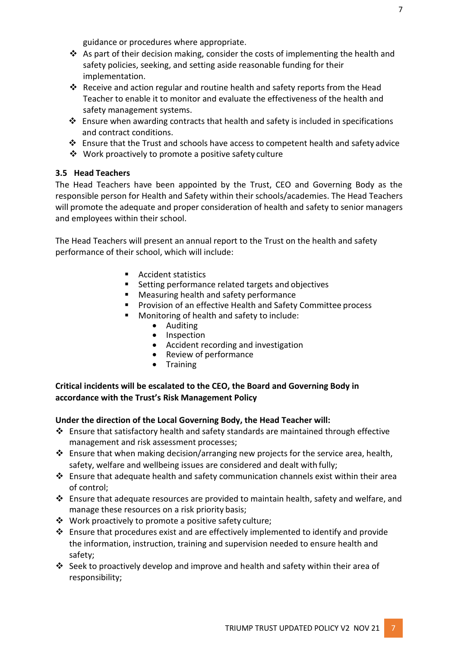guidance or procedures where appropriate.

- $\dots$  As part of their decision making, consider the costs of implementing the health and safety policies, seeking, and setting aside reasonable funding for their implementation.
- ❖ Receive and action regular and routine health and safety reports from the Head Teacher to enable it to monitor and evaluate the effectiveness of the health and safety management systems.
- $\dots$  Ensure when awarding contracts that health and safety is included in specifications and contract conditions.
- ❖ Ensure that the Trust and schools have access to competent health and safety advice
- ❖ Work proactively to promote a positive safety culture

## **3.5 Head Teachers**

The Head Teachers have been appointed by the Trust, CEO and Governing Body as the responsible person for Health and Safety within their schools/academies. The Head Teachers will promote the adequate and proper consideration of health and safety to senior managers and employees within their school.

The Head Teachers will present an annual report to the Trust on the health and safety performance of their school, which will include:

- Accident statistics
- Setting performance related targets and objectives
- Measuring health and safety performance
- Provision of an effective Health and Safety Committee process
- Monitoring of health and safety to include:
	- Auditing
	- Inspection
	- Accident recording and investigation
	- Review of performance
	- Training

## **Critical incidents will be escalated to the CEO, the Board and Governing Body in accordance with the Trust's Risk Management Policy**

## **Under the direction of the Local Governing Body, the Head Teacher will:**

- ❖ Ensure that satisfactory health and safety standards are maintained through effective management and risk assessment processes;
- ❖ Ensure that when making decision/arranging new projects for the service area, health, safety, welfare and wellbeing issues are considered and dealt with fully;
- ❖ Ensure that adequate health and safety communication channels exist within their area of control;
- ❖ Ensure that adequate resources are provided to maintain health, safety and welfare, and manage these resources on a risk priority basis;
- ❖ Work proactively to promote a positive safety culture;
- ❖ Ensure that procedures exist and are effectively implemented to identify and provide the information, instruction, training and supervision needed to ensure health and safety;
- $\dots$  Seek to proactively develop and improve and health and safety within their area of responsibility;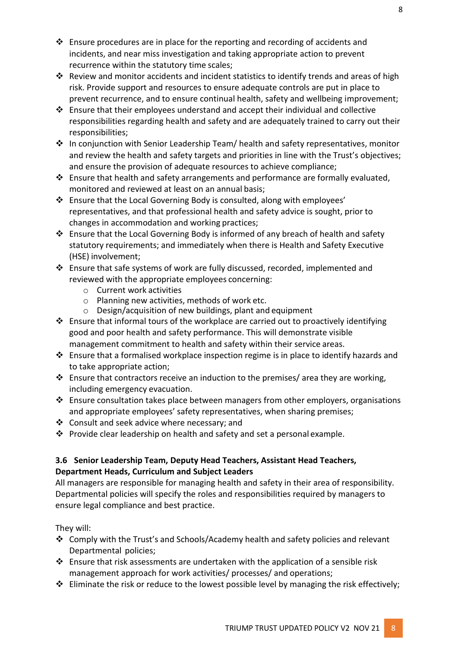- ❖ Ensure procedures are in place for the reporting and recording of accidents and incidents, and near miss investigation and taking appropriate action to prevent recurrence within the statutory time scales;
- ❖ Review and monitor accidents and incident statistics to identify trends and areas of high risk. Provide support and resources to ensure adequate controls are put in place to prevent recurrence, and to ensure continual health, safety and wellbeing improvement;
- ❖ Ensure that their employees understand and accept their individual and collective responsibilities regarding health and safety and are adequately trained to carry out their responsibilities;
- ❖ In conjunction with Senior Leadership Team/ health and safety representatives, monitor and review the health and safety targets and priorities in line with the Trust's objectives; and ensure the provision of adequate resources to achieve compliance;
- ❖ Ensure that health and safety arrangements and performance are formally evaluated, monitored and reviewed at least on an annual basis;
- ❖ Ensure that the Local Governing Body is consulted, along with employees' representatives, and that professional health and safety advice is sought, prior to changes in accommodation and working practices;
- ❖ Ensure that the Local Governing Body is informed of any breach of health and safety statutory requirements; and immediately when there is Health and Safety Executive (HSE) involvement;
- ❖ Ensure that safe systems of work are fully discussed, recorded, implemented and reviewed with the appropriate employees concerning:
	- o Current work activities
	- o Planning new activities, methods of work etc.
	- o Design/acquisition of new buildings, plant and equipment
- ❖ Ensure that informal tours of the workplace are carried out to proactively identifying good and poor health and safety performance. This will demonstrate visible management commitment to health and safety within their service areas.
- ❖ Ensure that a formalised workplace inspection regime is in place to identify hazards and to take appropriate action;
- $\dots$  Ensure that contractors receive an induction to the premises/ area they are working, including emergency evacuation.
- $\cdot \cdot$  Ensure consultation takes place between managers from other employers, organisations and appropriate employees' safety representatives, when sharing premises;
- ❖ Consult and seek advice where necessary; and
- ❖ Provide clear leadership on health and safety and set a personal example.

# **3.6 Senior Leadership Team, Deputy Head Teachers, Assistant Head Teachers, Department Heads, Curriculum and Subject Leaders**

All managers are responsible for managing health and safety in their area of responsibility. Departmental policies will specify the roles and responsibilities required by managers to ensure legal compliance and best practice.

# They will:

- ❖ Comply with the Trust's and Schools/Academy health and safety policies and relevant Departmental policies;
- ❖ Ensure that risk assessments are undertaken with the application of a sensible risk management approach for work activities/ processes/ and operations;
- ❖ Eliminate the risk or reduce to the lowest possible level by managing the risk effectively;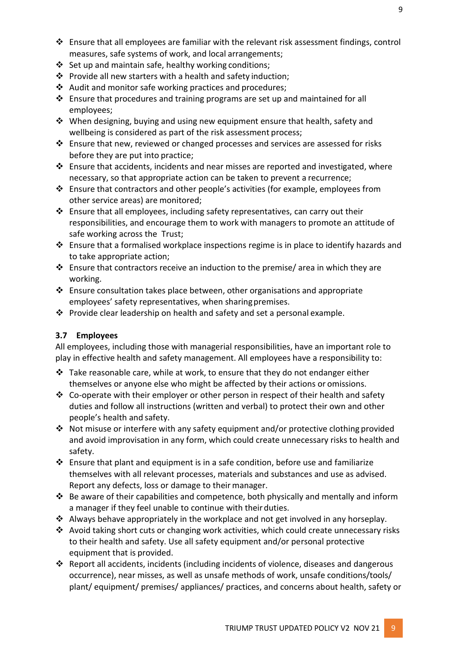- ❖ Ensure that all employees are familiar with the relevant risk assessment findings, control measures, safe systems of work, and local arrangements;
- ❖ Set up and maintain safe, healthy working conditions;
- ❖ Provide all new starters with a health and safety induction;
- ❖ Audit and monitor safe working practices and procedures;
- ❖ Ensure that procedures and training programs are set up and maintained for all employees;
- ❖ When designing, buying and using new equipment ensure that health, safety and wellbeing is considered as part of the risk assessment process;
- ❖ Ensure that new, reviewed or changed processes and services are assessed for risks before they are put into practice;
- ❖ Ensure that accidents, incidents and near misses are reported and investigated, where necessary, so that appropriate action can be taken to prevent a recurrence;
- ❖ Ensure that contractors and other people's activities (for example, employees from other service areas) are monitored;
- ❖ Ensure that all employees, including safety representatives, can carry out their responsibilities, and encourage them to work with managers to promote an attitude of safe working across the Trust;
- ❖ Ensure that a formalised workplace inspections regime is in place to identify hazards and to take appropriate action;
- ❖ Ensure that contractors receive an induction to the premise/ area in which they are working.
- ❖ Ensure consultation takes place between, other organisations and appropriate employees' safety representatives, when sharingpremises.
- **❖** Provide clear leadership on health and safety and set a personal example.

# **3.7 Employees**

All employees, including those with managerial responsibilities, have an important role to play in effective health and safety management. All employees have a responsibility to:

- ❖ Take reasonable care, while at work, to ensure that they do not endanger either themselves or anyone else who might be affected by their actions or omissions.
- ◆ Co-operate with their employer or other person in respect of their health and safety duties and follow all instructions (written and verbal) to protect their own and other people's health and safety.
- ❖ Not misuse or interfere with any safety equipment and/or protective clothing provided and avoid improvisation in any form, which could create unnecessary risks to health and safety.
- ❖ Ensure that plant and equipment is in a safe condition, before use and familiarize themselves with all relevant processes, materials and substances and use as advised. Report any defects, loss or damage to their manager.
- ❖ Be aware of their capabilities and competence, both physically and mentally and inform a manager if they feel unable to continue with their duties.
- $\triangleleft$  Always behave appropriately in the workplace and not get involved in any horseplay.
- ❖ Avoid taking short cuts or changing work activities, which could create unnecessary risks to their health and safety. Use all safety equipment and/or personal protective equipment that is provided.
- ❖ Report all accidents, incidents (including incidents of violence, diseases and dangerous occurrence), near misses, as well as unsafe methods of work, unsafe conditions/tools/ plant/ equipment/ premises/ appliances/ practices, and concerns about health, safety or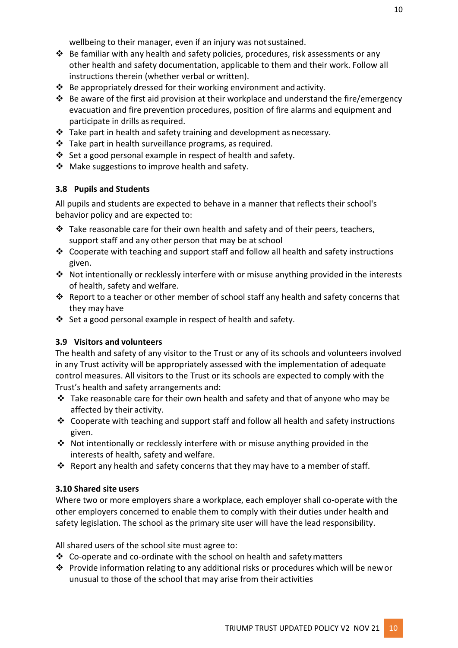wellbeing to their manager, even if an injury was notsustained.

- $\dots$  Be familiar with any health and safety policies, procedures, risk assessments or any other health and safety documentation, applicable to them and their work. Follow all instructions therein (whether verbal or written).
- ❖ Be appropriately dressed for their working environment and activity.
- ❖ Be aware of the first aid provision at their workplace and understand the fire/emergency evacuation and fire prevention procedures, position of fire alarms and equipment and participate in drills as required.
- ❖ Take part in health and safety training and development as necessary.
- ❖ Take part in health surveillance programs, asrequired.
- ❖ Set a good personal example in respect of health and safety.
- ❖ Make suggestions to improve health and safety.

#### **3.8 Pupils and Students**

All pupils and students are expected to behave in a manner that reflects their school's behavior policy and are expected to:

- $\clubsuit$  Take reasonable care for their own health and safety and of their peers, teachers, support staff and any other person that may be at school
- ❖ Cooperate with teaching and support staff and follow all health and safety instructions given.
- ❖ Not intentionally or recklessly interfere with or misuse anything provided in the interests of health, safety and welfare.
- ❖ Report to a teacher or other member of school staff any health and safety concerns that they may have
- ❖ Set a good personal example in respect of health and safety.

#### **3.9 Visitors and volunteers**

The health and safety of any visitor to the Trust or any of its schools and volunteers involved in any Trust activity will be appropriately assessed with the implementation of adequate control measures. All visitors to the Trust or its schools are expected to comply with the Trust's health and safety arrangements and:

- ❖ Take reasonable care for their own health and safety and that of anyone who may be affected by their activity.
- $\dots$  Cooperate with teaching and support staff and follow all health and safety instructions given.
- ❖ Not intentionally or recklessly interfere with or misuse anything provided in the interests of health, safety and welfare.
- ❖ Report any health and safety concerns that they may have to a member of staff.

#### **3.10 Shared site users**

Where two or more employers share a workplace, each employer shall co-operate with the other employers concerned to enable them to comply with their duties under health and safety legislation. The school as the primary site user will have the lead responsibility.

All shared users of the school site must agree to:

- ❖ Co-operate and co-ordinate with the school on health and safetymatters
- ❖ Provide information relating to any additional risks or procedures which will be newor unusual to those of the school that may arise from their activities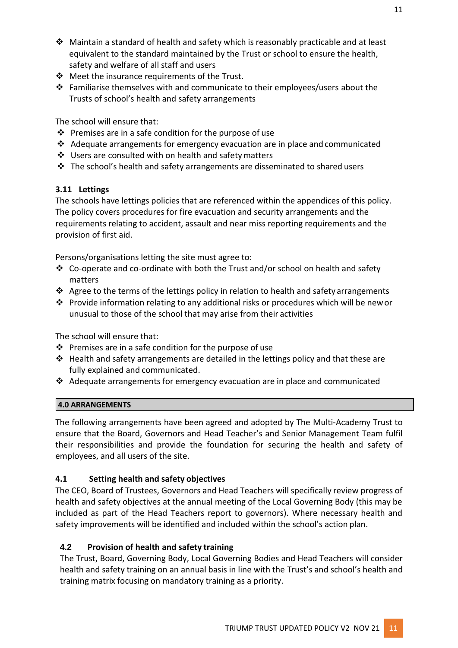- ❖ Maintain a standard of health and safety which is reasonably practicable and at least equivalent to the standard maintained by the Trust or school to ensure the health, safety and welfare of all staff and users
- ❖ Meet the insurance requirements of the Trust.
- ❖ Familiarise themselves with and communicate to their employees/users about the Trusts of school's health and safety arrangements

The school will ensure that:

- ❖ Premises are in a safe condition for the purpose of use
- ❖ Adequate arrangements for emergency evacuation are in place and communicated
- ❖ Users are consulted with on health and safetymatters
- ❖ The school's health and safety arrangements are disseminated to shared users

# **3.11 Lettings**

The schools have lettings policies that are referenced within the appendices of this policy. The policy covers procedures for fire evacuation and security arrangements and the requirements relating to accident, assault and near miss reporting requirements and the provision of first aid.

Persons/organisations letting the site must agree to:

- ◆ Co-operate and co-ordinate with both the Trust and/or school on health and safety matters
- ❖ Agree to the terms of the lettings policy in relation to health and safety arrangements
- ❖ Provide information relating to any additional risks or procedures which will be newor unusual to those of the school that may arise from their activities

The school will ensure that:

- ❖ Premises are in a safe condition for the purpose of use
- ❖ Health and safety arrangements are detailed in the lettings policy and that these are fully explained and communicated.
- ❖ Adequate arrangements for emergency evacuation are in place and communicated

# **4.0 ARRANGEMENTS**

The following arrangements have been agreed and adopted by The Multi-Academy Trust to ensure that the Board, Governors and Head Teacher's and Senior Management Team fulfil their responsibilities and provide the foundation for securing the health and safety of employees, and all users of the site.

# **4.1 Setting health and safety objectives**

The CEO, Board of Trustees, Governors and Head Teachers will specifically review progress of health and safety objectives at the annual meeting of the Local Governing Body (this may be included as part of the Head Teachers report to governors). Where necessary health and safety improvements will be identified and included within the school's action plan.

# **4.2 Provision of health and safety training**

The Trust, Board, Governing Body, Local Governing Bodies and Head Teachers will consider health and safety training on an annual basis in line with the Trust's and school's health and training matrix focusing on mandatory training as a priority.